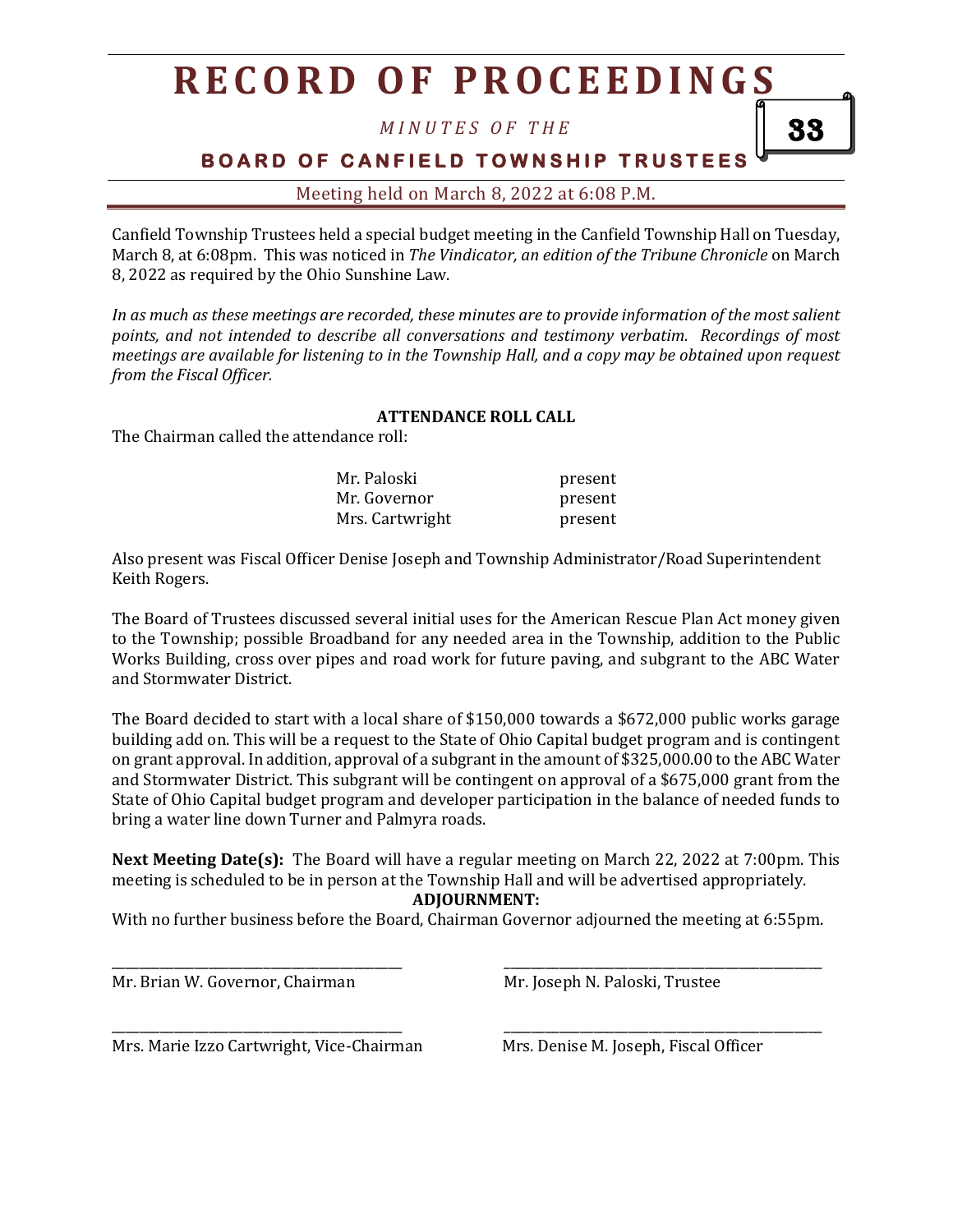## **R E C O R D O F P R O C E E D I N G S**

*M I N U T E S O F T H E*

**BOARD OF CANFIELD TOWNSHIP TRUSTEES** 

Meeting held on March 8, 2022 at 6:08 P.M.

Canfield Township Trustees held a special budget meeting in the Canfield Township Hall on Tuesday, March 8, at 6:08pm. This was noticed in *The Vindicator, an edition of the Tribune Chronicle* on March 8, 2022 as required by the Ohio Sunshine Law.

*In as much as these meetings are recorded, these minutes are to provide information of the most salient points, and not intended to describe all conversations and testimony verbatim. Recordings of most meetings are available for listening to in the Township Hall, and a copy may be obtained upon request from the Fiscal Officer.*

## **ATTENDANCE ROLL CALL**

The Chairman called the attendance roll:

| Mr. Paloski     | present |
|-----------------|---------|
| Mr. Governor    | present |
| Mrs. Cartwright | present |

Also present was Fiscal Officer Denise Joseph and Township Administrator/Road Superintendent Keith Rogers.

The Board of Trustees discussed several initial uses for the American Rescue Plan Act money given to the Township; possible Broadband for any needed area in the Township, addition to the Public Works Building, cross over pipes and road work for future paving, and subgrant to the ABC Water and Stormwater District.

The Board decided to start with a local share of \$150,000 towards a \$672,000 public works garage building add on. This will be a request to the State of Ohio Capital budget program and is contingent on grant approval. In addition, approval of a subgrant in the amount of \$325,000.00 to the ABC Water and Stormwater District. This subgrant will be contingent on approval of a \$675,000 grant from the State of Ohio Capital budget program and developer participation in the balance of needed funds to bring a water line down Turner and Palmyra roads.

**Next Meeting Date(s):** The Board will have a regular meeting on March 22, 2022 at 7:00pm. This meeting is scheduled to be in person at the Township Hall and will be advertised appropriately. **ADJOURNMENT:**

With no further business before the Board, Chairman Governor adjourned the meeting at 6:55pm.

\_\_\_\_\_\_\_\_\_\_\_\_\_\_\_\_\_\_\_\_\_\_\_\_\_\_\_\_\_\_\_\_\_\_\_\_\_\_\_\_\_\_ \_\_\_\_\_\_\_\_\_\_\_\_\_\_\_\_\_\_\_\_\_\_\_\_\_\_\_\_\_\_\_\_\_\_\_\_\_\_\_\_\_\_\_\_\_\_

\_\_\_\_\_\_\_\_\_\_\_\_\_\_\_\_\_\_\_\_\_\_\_\_\_\_\_\_\_\_\_\_\_\_\_\_\_\_\_\_\_\_ \_\_\_\_\_\_\_\_\_\_\_\_\_\_\_\_\_\_\_\_\_\_\_\_\_\_\_\_\_\_\_\_\_\_\_\_\_\_\_\_\_\_\_\_\_\_

Mr. Brian W. Governor, Chairman Mr. Joseph N. Paloski, Trustee

Mrs. Marie Izzo Cartwright, Vice-Chairman Mrs. Denise M. Joseph, Fiscal Officer

33